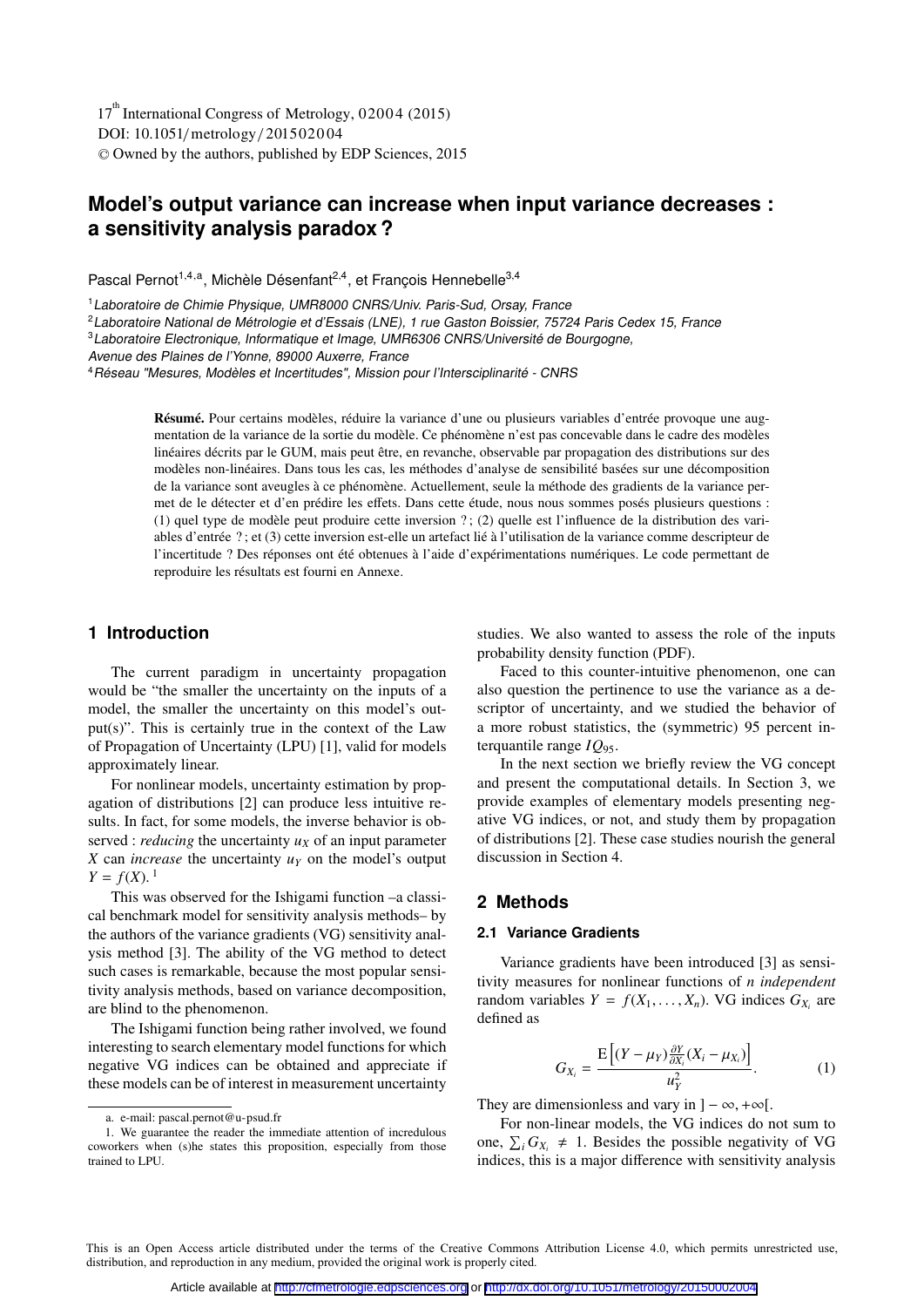DOI: 10.1051/metrology/201502004 -<sup>C</sup> Owned by the authors, published by EDP Sciences, 2015 17<sup>th</sup> International Congress of Metrology, 02004 (2015)

# **Model's output variance can increase when input variance decreases : a sensitivity analysis paradox ?**

Pascal Pernot<sup>1,4,a</sup>, Michèle Désenfant<sup>2,4</sup>, et François Hennebelle<sup>3,4</sup>

<sup>1</sup> Laboratoire de Chimie Physique, UMR8000 CNRS/Univ. Paris-Sud, Orsay, France

<sup>2</sup> Laboratoire National de Métrologie et d'Essais (LNE), 1 rue Gaston Boissier, 75724 Paris Cedex 15, France

<sup>3</sup> Laboratoire Electronique, Informatique et Image, UMR6306 CNRS/Université de Bourgogne,

Avenue des Plaines de l'Yonne, 89000 Auxerre, France

<sup>4</sup>Réseau "Mesures, Modèles et Incertitudes", Mission pour l'Intersciplinarité - CNRS

Résumé. Pour certains modèles, réduire la variance d'une ou plusieurs variables d'entrée provoque une augmentation de la variance de la sortie du modèle. Ce phénomène n'est pas concevable dans le cadre des modèles linéaires décrits par le GUM, mais peut être, en revanche, observable par propagation des distributions sur des modèles non-linéaires. Dans tous les cas, les méthodes d'analyse de sensibilité basées sur une décomposition de la variance sont aveugles à ce phénomène. Actuellement, seule la méthode des gradients de la variance permet de le détecter et d'en prédire les effets. Dans cette étude, nous nous sommes posés plusieurs questions : (1) quel type de modèle peut produire cette inversion ? ; (2) quelle est l'influence de la distribution des variables d'entrée ? ; et (3) cette inversion est-elle un artefact lié à l'utilisation de la variance comme descripteur de l'incertitude ? Des réponses ont été obtenues à l'aide d'expérimentations numériques. Le code permettant de reproduire les résultats est fourni en Annexe.

# **1 Introduction**

The current paradigm in uncertainty propagation would be "the smaller the uncertainty on the inputs of a model, the smaller the uncertainty on this model's output(s)". This is certainly true in the context of the Law of Propagation of Uncertainty (LPU) [1], valid for models approximately linear.

For nonlinear models, uncertainty estimation by propagation of distributions [2] can produce less intuitive results. In fact, for some models, the inverse behavior is observed : *reducing* the uncertainty  $u_x$  of an input parameter *X* can *increase* the uncertainty  $u<sub>y</sub>$  on the model's output  $Y = f(X)$ .<sup>1</sup>

This was observed for the Ishigami function –a classical benchmark model for sensitivity analysis methods– by the authors of the variance gradients (VG) sensitivity analysis method [3]. The ability of the VG method to detect such cases is remarkable, because the most popular sensitivity analysis methods, based on variance decomposition, are blind to the phenomenon.

The Ishigami function being rather involved, we found interesting to search elementary model functions for which negative VG indices can be obtained and appreciate if these models can be of interest in measurement uncertainty

studies. We also wanted to assess the role of the inputs probability density function (PDF).

Faced to this counter-intuitive phenomenon, one can also question the pertinence to use the variance as a descriptor of uncertainty, and we studied the behavior of a more robust statistics, the (symmetric) 95 percent interquantile range *IQ*95.

In the next section we briefly review the VG concept and present the computational details. In Section 3, we provide examples of elementary models presenting negative VG indices, or not, and study them by propagation of distributions [2]. These case studies nourish the general discussion in Section 4.

# **2 Methods**

#### **2.1 Variance Gradients**

Variance gradients have been introduced [3] as sensitivity measures for nonlinear functions of *n independent* random variables  $Y = f(X_1, \ldots, X_n)$ . VG indices  $G_{X_i}$  are defined as

$$
G_{X_i} = \frac{\mathrm{E}\left[ (Y - \mu_Y) \frac{\partial Y}{\partial X_i} (X_i - \mu_{X_i}) \right]}{u_Y^2}.
$$
 (1)

They are dimensionless and vary in  $]-\infty, +\infty[$ .

For non-linear models, the VG indices do not sum to one,  $\sum_i G_{X_i} \neq 1$ . Besides the possible negativity of VG indices, this is a major difference with sensitivity analysis

This is an Open Access article distributed under the terms of the Creative Commons Attribution License 4.0, which permits unrestricted use, distribution, and reproduction in any medium, provided the original work is properly cited.

a. e-mail: pascal.pernot@u-psud.fr

<sup>1.</sup> We guarantee the reader the immediate attention of incredulous coworkers when (s)he states this proposition, especially from those trained to LPU.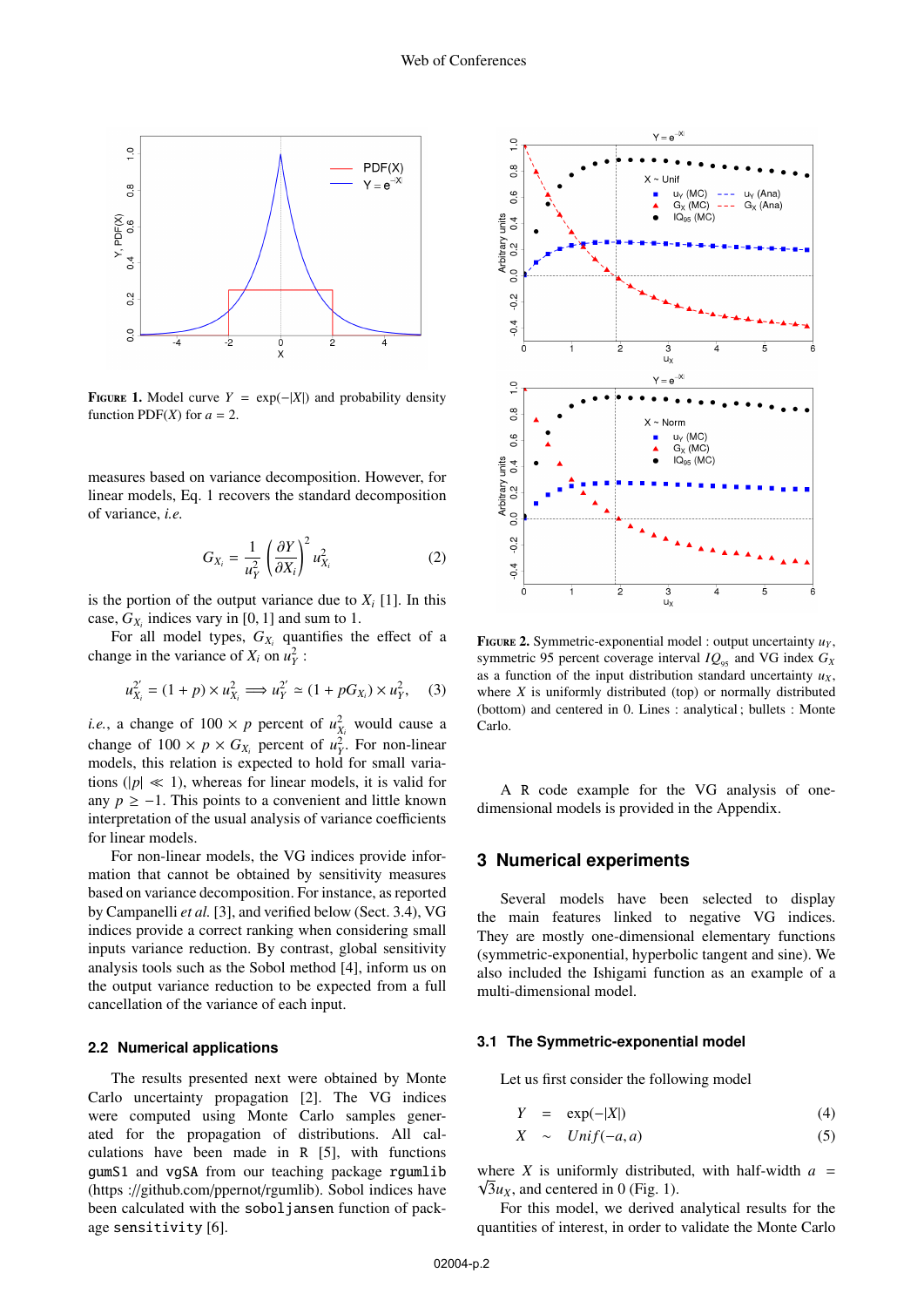

**FIGURE 1.** Model curve  $Y = \exp(-|X|)$  and probability density function PDF(*X*) for  $a = 2$ .

measures based on variance decomposition. However, for linear models, Eq. 1 recovers the standard decomposition of variance, *i.e.*

$$
G_{X_i} = \frac{1}{u_Y^2} \left(\frac{\partial Y}{\partial X_i}\right)^2 u_{X_i}^2 \tag{2}
$$

is the portion of the output variance due to  $X_i$  [1]. In this case,  $G_{X_i}$  indices vary in [0, 1] and sum to 1.

For all model types,  $G_{X_i}$  quantifies the effect of a change in the variance of  $X_i$  on  $u_Y^2$ :

$$
u_{X_i}^{2'} = (1 + p) \times u_{X_i}^{2} \Longrightarrow u_{Y}^{2'} \simeq (1 + pG_{X_i}) \times u_{Y}^{2}, \quad (3)
$$

*i.e.*, a change of  $100 \times p$  percent of  $u_{X_i}^2$  would cause a change of  $100 \times p \times G_{X_i}$  percent of  $u_Y^2$ . For non-linear models, this relation is expected to hold for small variations ( $|p| \ll 1$ ), whereas for linear models, it is valid for any  $p \ge -1$ . This points to a convenient and little known interpretation of the usual analysis of variance coefficients for linear models.

For non-linear models, the VG indices provide information that cannot be obtained by sensitivity measures based on variance decomposition. For instance, as reported by Campanelli *et al.* [3], and verified below (Sect. 3.4), VG indices provide a correct ranking when considering small inputs variance reduction. By contrast, global sensitivity analysis tools such as the Sobol method [4], inform us on the output variance reduction to be expected from a full cancellation of the variance of each input.

#### **2.2 Numerical applications**

The results presented next were obtained by Monte Carlo uncertainty propagation [2]. The VG indices were computed using Monte Carlo samples generated for the propagation of distributions. All calculations have been made in R [5], with functions gumS1 and vgSA from our teaching package rgumlib (https ://github.com/ppernot/rgumlib). Sobol indices have been calculated with the soboljansen function of package sensitivity [6].



**FIGURE 2.** Symmetric-exponential model : output uncertainty  $u_Y$ , symmetric 95 percent coverage interval  $IQ_{95}$  and VG index  $G_X$ as a function of the input distribution standard uncertainty  $u<sub>x</sub>$ , where *X* is uniformly distributed (top) or normally distributed (bottom) and centered in 0. Lines : analytical ; bullets : Monte Carlo.

A R code example for the VG analysis of onedimensional models is provided in the Appendix.

# **3 Numerical experiments**

Several models have been selected to display the main features linked to negative VG indices. They are mostly one-dimensional elementary functions (symmetric-exponential, hyperbolic tangent and sine). We also included the Ishigami function as an example of a multi-dimensional model.

# **3.1 The Symmetric-exponential model**

Let us first consider the following model

$$
Y = \exp(-|X|) \tag{4}
$$

$$
X \sim Unif(-a, a) \tag{5}
$$

where *X* is uniformly distributed, with half-width  $a =$  $\sqrt{3}u_{x}$ , and centered in 0 (Fig. 1).

For this model, we derived analytical results for the quantities of interest, in order to validate the Monte Carlo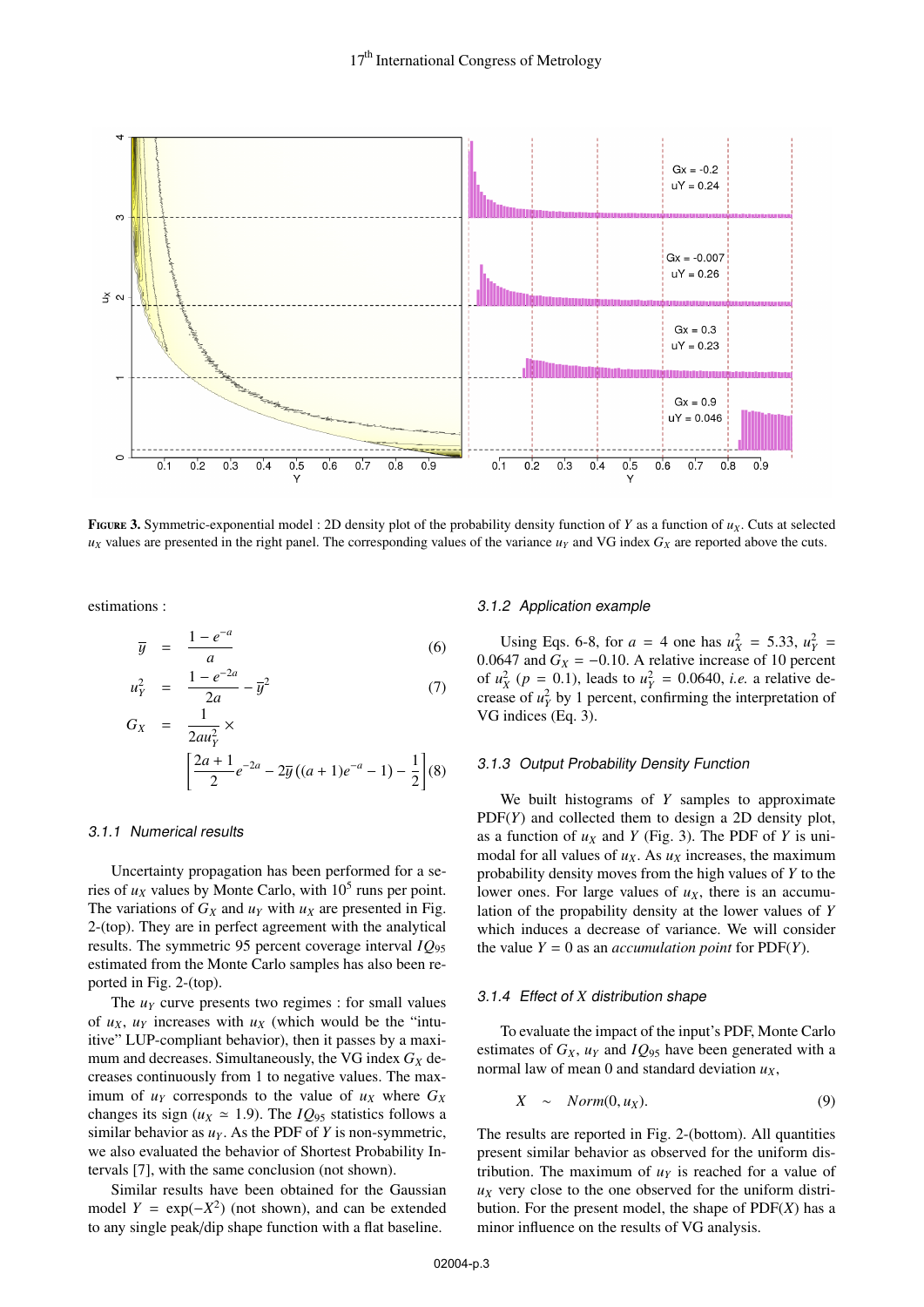

FIGURE 3. Symmetric-exponential model : 2D density plot of the probability density function of *Y* as a function of  $u<sub>X</sub>$ . Cuts at selected  $u<sub>X</sub>$  values are presented in the right panel. The corresponding values of the variance  $u<sub>Y</sub>$  and VG index  $G<sub>X</sub>$  are reported above the cuts.

estimations :

$$
\overline{y} = \frac{1 - e^{-a}}{a} \tag{6}
$$

$$
u_Y^2 = \frac{1 - e^{-2a}}{2a} - \overline{y}^2 \tag{7}
$$

$$
G_X = \frac{1}{2au_Y^2} \times \left[ \frac{2a+1}{2} e^{-2a} - 2\overline{y} \left( (a+1)e^{-a} - 1 \right) - \frac{1}{2} \right] (8)
$$

#### 3.1.1 Numerical results

Uncertainty propagation has been performed for a series of  $u_X$  values by Monte Carlo, with  $10^5$  runs per point. The variations of  $G_X$  and  $u_Y$  with  $u_X$  are presented in Fig. 2-(top). They are in perfect agreement with the analytical results. The symmetric 95 percent coverage interval *IQ*<sup>95</sup> estimated from the Monte Carlo samples has also been reported in Fig. 2-(top).

The  $u<sub>Y</sub>$  curve presents two regimes : for small values of  $u_X$ ,  $u_Y$  increases with  $u_X$  (which would be the "intuitive" LUP-compliant behavior), then it passes by a maximum and decreases. Simultaneously, the VG index  $G_X$  decreases continuously from 1 to negative values. The maximum of  $u_Y$  corresponds to the value of  $u_X$  where  $G_X$ changes its sign ( $u_X \approx 1.9$ ). The *IQ*<sub>95</sub> statistics follows a similar behavior as  $u_Y$ . As the PDF of *Y* is non-symmetric, we also evaluated the behavior of Shortest Probability Intervals [7], with the same conclusion (not shown).

Similar results have been obtained for the Gaussian model  $Y = \exp(-X^2)$  (not shown), and can be extended to any single peak/dip shape function with a flat baseline.

## 3.1.2 Application example

Using Eqs. 6-8, for  $a = 4$  one has  $u_x^2 = 5.33$ ,  $u_y^2 = 6.47$  and  $G_y = -0.10$ . A relative increase of 10 percent 0.0647 and  $G_X = -0.10$ . A relative increase of 10 percent of  $u_X^2$  ( $p = 0.1$ ), leads to  $u_Y^2 = 0.0640$ , *i.e.* a relative de-<br>crease of  $u^2$  by 1 percent confirming the interpretation of crease of  $u_Y^2$  by 1 percent, confirming the interpretation of VG indices (Eq. 3).

# 3.1.3 Output Probability Density Function

We built histograms of *Y* samples to approximate PDF(*Y*) and collected them to design a 2D density plot, as a function of  $u_X$  and *Y* (Fig. 3). The PDF of *Y* is unimodal for all values of  $u_X$ . As  $u_X$  increases, the maximum probability density moves from the high values of *Y* to the lower ones. For large values of  $u<sub>X</sub>$ , there is an accumulation of the propability density at the lower values of *Y* which induces a decrease of variance. We will consider the value  $Y = 0$  as an *accumulation point* for PDF(*Y*).

#### 3.1.4 Effect of *X* distribution shape

To evaluate the impact of the input's PDF, Monte Carlo estimates of  $G_X$ ,  $u_Y$  and  $IQ_{95}$  have been generated with a normal law of mean 0 and standard deviation  $u_x$ ,

$$
X \sim Norm(0, u_X). \tag{9}
$$

The results are reported in Fig. 2-(bottom). All quantities present similar behavior as observed for the uniform distribution. The maximum of  $u<sub>y</sub>$  is reached for a value of  $u<sub>X</sub>$  very close to the one observed for the uniform distribution. For the present model, the shape of PDF(*X*) has a minor influence on the results of VG analysis.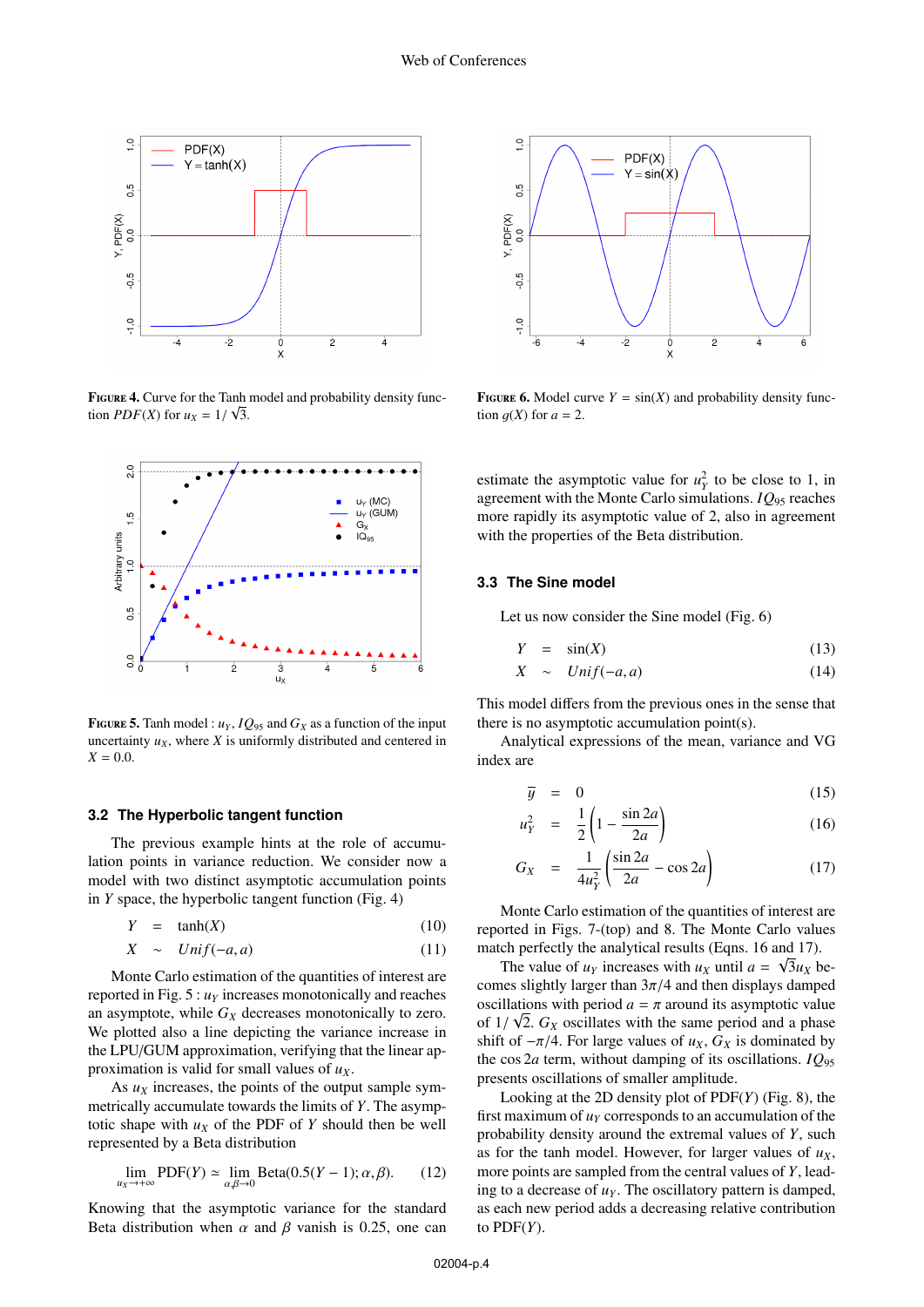

FIGURE 4. Curve for the Tanh model and probability density function *PDF*(*X*) for  $u_X = 1/\sqrt{3}$ .



**FIGURE 5.** Tanh model :  $u_Y$ ,  $IQ_{95}$  and  $G_X$  as a function of the input uncertainty  $u_x$ , where  $X$  is uniformly distributed and centered in  $X = 0.0$ .

#### **3.2 The Hyperbolic tangent function**

The previous example hints at the role of accumulation points in variance reduction. We consider now a model with two distinct asymptotic accumulation points in *Y* space, the hyperbolic tangent function (Fig. 4)

$$
Y = \tanh(X) \tag{10}
$$

$$
X \sim Unif(-a, a) \tag{11}
$$

Monte Carlo estimation of the quantities of interest are reported in Fig.  $5: u<sub>Y</sub>$  increases monotonically and reaches an asymptote, while  $G_X$  decreases monotonically to zero. We plotted also a line depicting the variance increase in the LPU/GUM approximation, verifying that the linear approximation is valid for small values of  $u<sub>X</sub>$ .

As  $u<sub>X</sub>$  increases, the points of the output sample symmetrically accumulate towards the limits of *Y*. The asymptotic shape with  $u_X$  of the PDF of  $Y$  should then be well represented by a Beta distribution

$$
\lim_{u_X \to +\infty} \text{PDF}(Y) \simeq \lim_{\alpha, \beta \to 0} \text{Beta}(0.5(Y-1); \alpha, \beta). \tag{12}
$$

Knowing that the asymptotic variance for the standard Beta distribution when  $\alpha$  and  $\beta$  vanish is 0.25, one can



**FIGURE 6.** Model curve  $Y = sin(X)$  and probability density function  $q(X)$  for  $a = 2$ .

estimate the asymptotic value for  $u_Y^2$  to be close to 1, in agreement with the Monte Carlo simulations. *IQ*<sup>95</sup> reaches more rapidly its asymptotic value of 2, also in agreement with the properties of the Beta distribution.

## **3.3 The Sine model**

Let us now consider the Sine model (Fig. 6)

$$
Y = \sin(X) \tag{13}
$$

$$
X \sim Unif(-a, a) \tag{14}
$$

This model differs from the previous ones in the sense that there is no asymptotic accumulation point(s).

Analytical expressions of the mean, variance and VG index are

$$
\overline{y} = 0 \tag{15}
$$

$$
u_Y^2 = \frac{1}{2} \left( 1 - \frac{\sin 2a}{2a} \right) \tag{16}
$$

$$
G_X = \frac{1}{4u_Y^2} \left( \frac{\sin 2a}{2a} - \cos 2a \right)
$$
 (17)

Monte Carlo estimation of the quantities of interest are reported in Figs. 7-(top) and 8. The Monte Carlo values match perfectly the analytical results (Eqns. 16 and 17).

The value of  $u_Y$  increases with  $u_X$  until  $a = \sqrt{3}u_X$  becomes slightly larger than  $3\pi/4$  and then displays damped oscillations with period  $a = \pi$  around its asymptotic value of  $1/\sqrt{2}$ .  $G_X$  oscillates with the same period and a phase<br>shift of  $-\pi/4$ . For large values of  $u_X$ .  $G_X$  is dominated by shift of  $-\pi/4$ . For large values of  $u_X$ ,  $G_X$  is dominated by the cos 2*a* term, without damping of its oscillations. *IQ*<sup>95</sup> presents oscillations of smaller amplitude.

Looking at the 2D density plot of PDF(*Y*) (Fig. 8), the first maximum of  $u<sub>y</sub>$  corresponds to an accumulation of the probability density around the extremal values of *Y*, such as for the tanh model. However, for larger values of  $u<sub>X</sub>$ , more points are sampled from the central values of *Y*, leading to a decrease of  $u<sub>Y</sub>$ . The oscillatory pattern is damped, as each new period adds a decreasing relative contribution to  $PDF(Y)$ .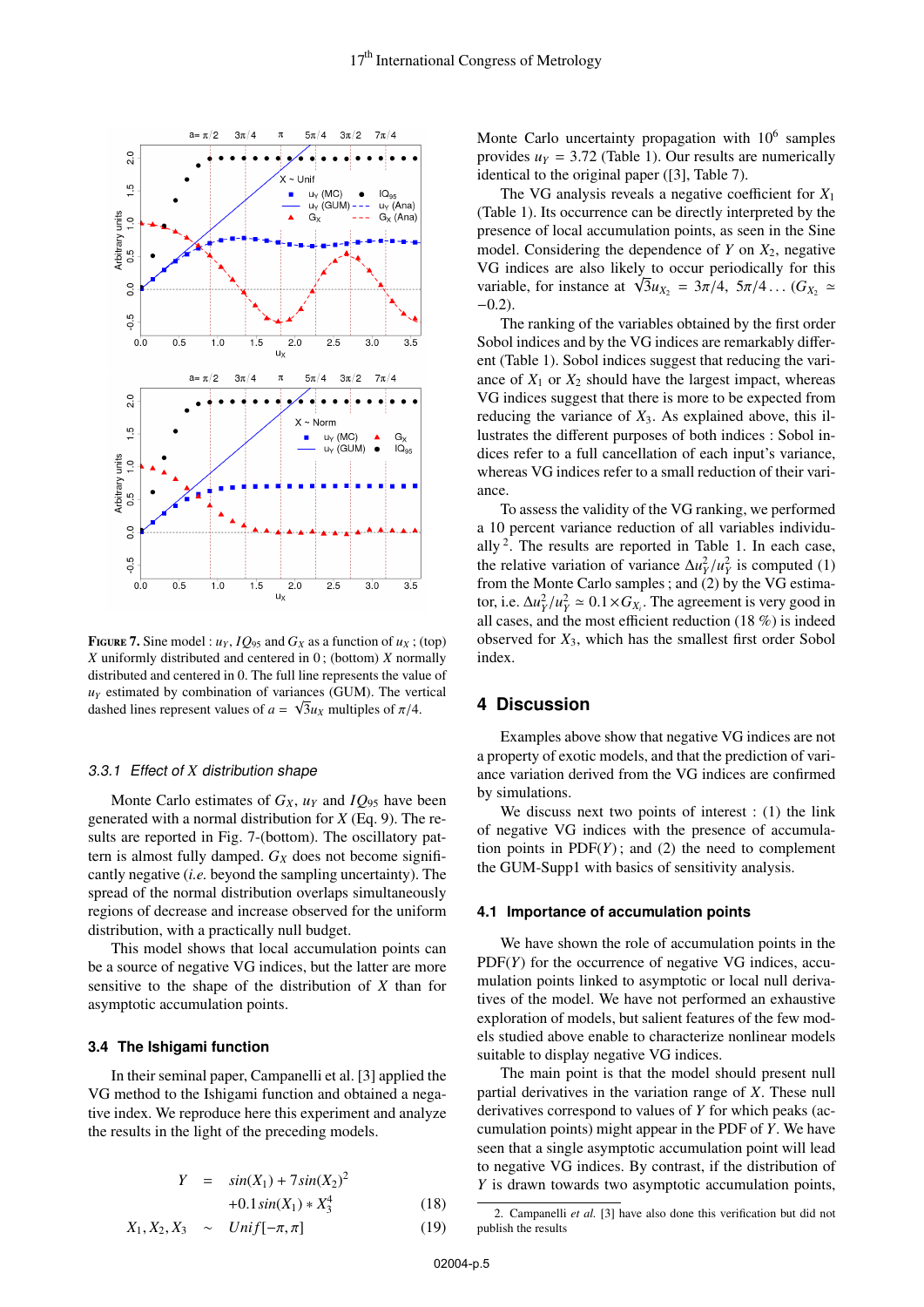

**FIGURE 7.** Sine model :  $u_Y$ ,  $IQ_{95}$  and  $G_X$  as a function of  $u_X$ ; (top) *X* uniformly distributed and centered in 0 ; (bottom) *X* normally distributed and centered in 0. The full line represents the value of  $u<sub>Y</sub>$  estimated by combination of variances (GUM). The vertical dashed lines represent values of  $a = \sqrt{3}u_X$  multiples of  $\pi/4$ .

#### 3.3.1 Effect of *X* distribution shape

Monte Carlo estimates of  $G_X$ ,  $u_Y$  and  $IQ_{95}$  have been generated with a normal distribution for *X* (Eq. 9). The results are reported in Fig. 7-(bottom). The oscillatory pattern is almost fully damped.  $G_X$  does not become significantly negative (*i.e.* beyond the sampling uncertainty). The spread of the normal distribution overlaps simultaneously regions of decrease and increase observed for the uniform distribution, with a practically null budget.

This model shows that local accumulation points can be a source of negative VG indices, but the latter are more sensitive to the shape of the distribution of *X* than for asymptotic accumulation points.

# **3.4 The Ishigami function**

In their seminal paper, Campanelli et al. [3] applied the VG method to the Ishigami function and obtained a negative index. We reproduce here this experiment and analyze the results in the light of the preceding models.

$$
Y = \sin(X_1) + 7\sin(X_2)^2
$$

$$
+0.1\sin(X_1) * X_3^4\tag{18}
$$

$$
X_1, X_2, X_3 \sim Unif[-\pi, \pi]
$$
 (19)

Monte Carlo uncertainty propagation with  $10<sup>6</sup>$  samples provides  $u_Y = 3.72$  (Table 1). Our results are numerically identical to the original paper ([3], Table 7).

The VG analysis reveals a negative coefficient for *X*<sup>1</sup> (Table 1). Its occurrence can be directly interpreted by the presence of local accumulation points, as seen in the Sine model. Considering the dependence of *Y* on *X*2, negative VG indices are also likely to occur periodically for this variable, for instance at  $\sqrt{3}u_{X_2} = 3\pi/4$ ,  $5\pi/4$ ... ( $G_{X_2} \simeq$  -0.2)  $-0.2$ ).

The ranking of the variables obtained by the first order Sobol indices and by the VG indices are remarkably different (Table 1). Sobol indices suggest that reducing the variance of  $X_1$  or  $X_2$  should have the largest impact, whereas VG indices suggest that there is more to be expected from reducing the variance of *X*3. As explained above, this illustrates the different purposes of both indices : Sobol indices refer to a full cancellation of each input's variance, whereas VG indices refer to a small reduction of their variance.

To assess the validity of the VG ranking, we performed a 10 percent variance reduction of all variables individually  $2$ . The results are reported in Table 1. In each case, the relative variation of variance  $\Delta u_Y^2/u_Y^2$  is computed (1) from the Monte Carlo samples: and (2) by the VG estimafrom the Monte Carlo samples ; and (2) by the VG estimator, i.e.  $\Delta u_Y^2 / u_Y^2 \simeq 0.1 \times G_{X_i}$ . The agreement is very good in all cases and the most efficient reduction (18 %) is indeed all cases, and the most efficient reduction (18 %) is indeed observed for *X*3, which has the smallest first order Sobol index.

# **4 Discussion**

Examples above show that negative VG indices are not a property of exotic models, and that the prediction of variance variation derived from the VG indices are confirmed by simulations.

We discuss next two points of interest : (1) the link of negative VG indices with the presence of accumulation points in  $PDF(Y)$ ; and (2) the need to complement the GUM-Supp1 with basics of sensitivity analysis.

#### **4.1 Importance of accumulation points**

We have shown the role of accumulation points in the  $PDF(Y)$  for the occurrence of negative VG indices, accumulation points linked to asymptotic or local null derivatives of the model. We have not performed an exhaustive exploration of models, but salient features of the few models studied above enable to characterize nonlinear models suitable to display negative VG indices.

The main point is that the model should present null partial derivatives in the variation range of *X*. These null derivatives correspond to values of *Y* for which peaks (accumulation points) might appear in the PDF of *Y*. We have seen that a single asymptotic accumulation point will lead to negative VG indices. By contrast, if the distribution of *Y* is drawn towards two asymptotic accumulation points,

<sup>2.</sup> Campanelli *et al.* [3] have also done this verification but did not publish the results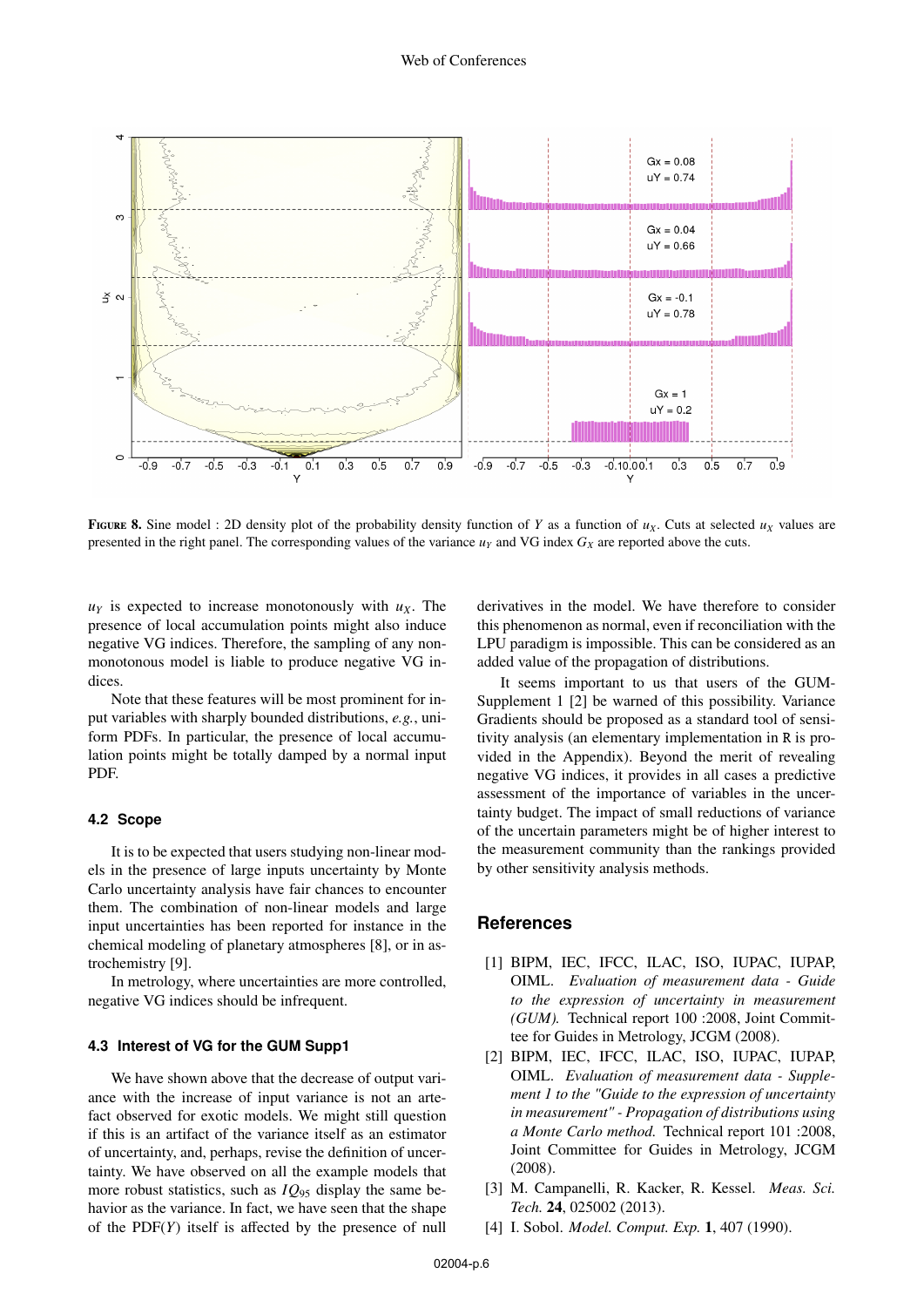

FIGURE 8. Sine model : 2D density plot of the probability density function of *Y* as a function of  $u<sub>X</sub>$ . Cuts at selected  $u<sub>X</sub>$  values are presented in the right panel. The corresponding values of the variance  $u<sub>Y</sub>$  and VG index  $G<sub>X</sub>$  are reported above the cuts.

 $u_Y$  is expected to increase monotonously with  $u_X$ . The presence of local accumulation points might also induce negative VG indices. Therefore, the sampling of any nonmonotonous model is liable to produce negative VG indices.

Note that these features will be most prominent for input variables with sharply bounded distributions, *e.g.*, uniform PDFs. In particular, the presence of local accumulation points might be totally damped by a normal input PDF.

# **4.2 Scope**

It is to be expected that users studying non-linear models in the presence of large inputs uncertainty by Monte Carlo uncertainty analysis have fair chances to encounter them. The combination of non-linear models and large input uncertainties has been reported for instance in the chemical modeling of planetary atmospheres [8], or in astrochemistry [9].

In metrology, where uncertainties are more controlled, negative VG indices should be infrequent.

## **4.3 Interest of VG for the GUM Supp1**

We have shown above that the decrease of output variance with the increase of input variance is not an artefact observed for exotic models. We might still question if this is an artifact of the variance itself as an estimator of uncertainty, and, perhaps, revise the definition of uncertainty. We have observed on all the example models that more robust statistics, such as *IQ*<sup>95</sup> display the same behavior as the variance. In fact, we have seen that the shape of the PDF(*Y*) itself is affected by the presence of null derivatives in the model. We have therefore to consider this phenomenon as normal, even if reconciliation with the LPU paradigm is impossible. This can be considered as an added value of the propagation of distributions.

It seems important to us that users of the GUM-Supplement 1 [2] be warned of this possibility. Variance Gradients should be proposed as a standard tool of sensitivity analysis (an elementary implementation in R is provided in the Appendix). Beyond the merit of revealing negative VG indices, it provides in all cases a predictive assessment of the importance of variables in the uncertainty budget. The impact of small reductions of variance of the uncertain parameters might be of higher interest to the measurement community than the rankings provided by other sensitivity analysis methods.

# **References**

- [1] BIPM, IEC, IFCC, ILAC, ISO, IUPAC, IUPAP, OIML. *Evaluation of measurement data - Guide to the expression of uncertainty in measurement (GUM).* Technical report 100 :2008, Joint Committee for Guides in Metrology, JCGM (2008).
- [2] BIPM, IEC, IFCC, ILAC, ISO, IUPAC, IUPAP, OIML. *Evaluation of measurement data - Supplement 1 to the "Guide to the expression of uncertainty in measurement" - Propagation of distributions using a Monte Carlo method.* Technical report 101 :2008, Joint Committee for Guides in Metrology, JCGM (2008).
- [3] M. Campanelli, R. Kacker, R. Kessel. *Meas. Sci. Tech.* 24, 025002 (2013).
- [4] I. Sobol. *Model. Comput. Exp.* 1, 407 (1990).